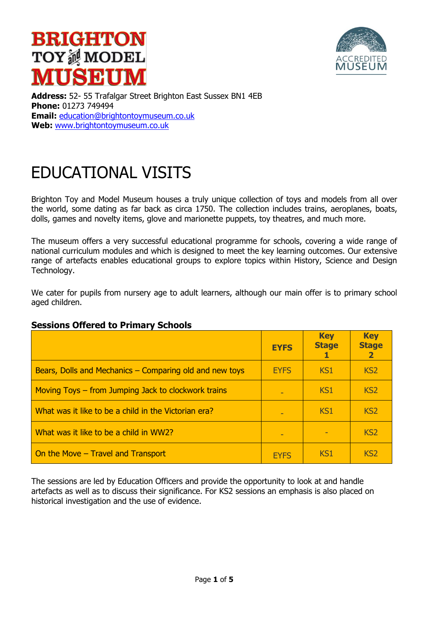# **BRIGHTON TOY测MODEL MUSEUM**



**Address:** 52- 55 Trafalgar Street Brighton East Sussex BN1 4EB **Phone:** 01273 749494 **Email:** education@brightontoymuseum.co.uk **Web:** www.brightontoymuseum.co.uk

# EDUCATIONAL VISITS

Brighton Toy and Model Museum houses a truly unique collection of toys and models from all over the world, some dating as far back as circa 1750. The collection includes trains, aeroplanes, boats, dolls, games and novelty items, glove and marionette puppets, toy theatres, and much more.

The museum offers a very successful educational programme for schools, covering a wide range of national curriculum modules and which is designed to meet the key learning outcomes. Our extensive range of artefacts enables educational groups to explore topics within History, Science and Design Technology.

We cater for pupils from nursery age to adult learners, although our main offer is to primary school aged children.

|                                                         | <b>EYFS</b> | <b>Key</b><br><b>Stage</b> | <b>Key</b><br><b>Stage</b><br>$\overline{\mathbf{2}}$ |
|---------------------------------------------------------|-------------|----------------------------|-------------------------------------------------------|
| Bears, Dolls and Mechanics – Comparing old and new toys | <b>EYFS</b> | KS <sub>1</sub>            | KS <sub>2</sub>                                       |
| Moving Toys – from Jumping Jack to clockwork trains     |             | KS1                        | KS <sub>2</sub>                                       |
| What was it like to be a child in the Victorian era?    |             | KS <sub>1</sub>            | KS <sub>2</sub>                                       |
| What was it like to be a child in WW2?                  |             |                            | KS <sub>2</sub>                                       |
| On the Move - Travel and Transport                      | <b>FYFS</b> | KS <sub>1</sub>            | KS <sub>2</sub>                                       |

### **Sessions Offered to Primary Schools**

The sessions are led by Education Officers and provide the opportunity to look at and handle artefacts as well as to discuss their significance. For KS2 sessions an emphasis is also placed on historical investigation and the use of evidence.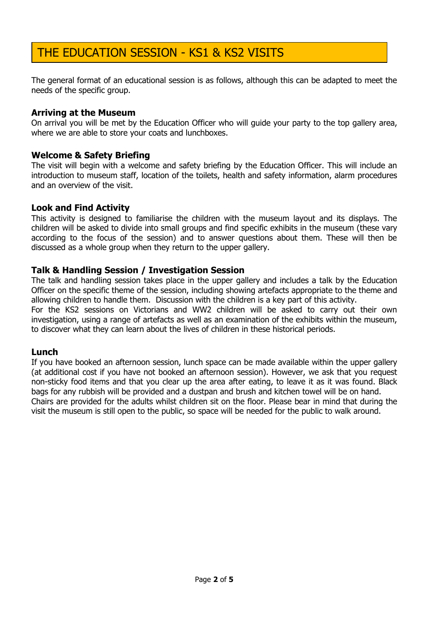## THE EDUCATION SESSION - KS1 & KS2 VISITS

The general format of an educational session is as follows, although this can be adapted to meet the needs of the specific group.

#### **Arriving at the Museum**

On arrival you will be met by the Education Officer who will guide your party to the top gallery area, where we are able to store your coats and lunchboxes.

#### **Welcome & Safety Briefing**

The visit will begin with a welcome and safety briefing by the Education Officer. This will include an introduction to museum staff, location of the toilets, health and safety information, alarm procedures and an overview of the visit.

#### **Look and Find Activity**

This activity is designed to familiarise the children with the museum layout and its displays. The children will be asked to divide into small groups and find specific exhibits in the museum (these vary according to the focus of the session) and to answer questions about them. These will then be discussed as a whole group when they return to the upper gallery.

#### **Talk & Handling Session / Investigation Session**

The talk and handling session takes place in the upper gallery and includes a talk by the Education Officer on the specific theme of the session, including showing artefacts appropriate to the theme and allowing children to handle them. Discussion with the children is a key part of this activity.

For the KS2 sessions on Victorians and WW2 children will be asked to carry out their own investigation, using a range of artefacts as well as an examination of the exhibits within the museum, to discover what they can learn about the lives of children in these historical periods.

#### **Lunch**

If you have booked an afternoon session, lunch space can be made available within the upper gallery (at additional cost if you have not booked an afternoon session). However, we ask that you request non-sticky food items and that you clear up the area after eating, to leave it as it was found. Black bags for any rubbish will be provided and a dustpan and brush and kitchen towel will be on hand. Chairs are provided for the adults whilst children sit on the floor. Please bear in mind that during the visit the museum is still open to the public, so space will be needed for the public to walk around.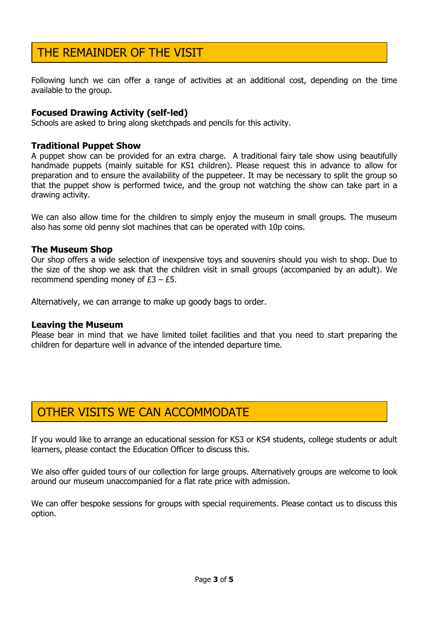## THE REMAINDER OF THE VISIT

Following lunch we can offer a range of activities at an additional cost, depending on the time available to the group.

#### **Focused Drawing Activity (self-led)**

Schools are asked to bring along sketchpads and pencils for this activity.

#### **Traditional Puppet Show**

A puppet show can be provided for an extra charge. A traditional fairy tale show using beautifully handmade puppets (mainly suitable for KS1 children). Please request this in advance to allow for preparation and to ensure the availability of the puppeteer. It may be necessary to split the group so that the puppet show is performed twice, and the group not watching the show can take part in a drawing activity.

We can also allow time for the children to simply enjoy the museum in small groups. The museum also has some old penny slot machines that can be operated with 10p coins.

#### **The Museum Shop**

Our shop offers a wide selection of inexpensive toys and souvenirs should you wish to shop. Due to the size of the shop we ask that the children visit in small groups (accompanied by an adult). We recommend spending money of  $£3 - £5$ .

Alternatively, we can arrange to make up goody bags to order.

#### **Leaving the Museum**

Please bear in mind that we have limited toilet facilities and that you need to start preparing the children for departure well in advance of the intended departure time.

### OTHER VISITS WE CAN ACCOMMODATE

If you would like to arrange an educational session for KS3 or KS4 students, college students or adult learners, please contact the Education Officer to discuss this.

We also offer guided tours of our collection for large groups. Alternatively groups are welcome to look around our museum unaccompanied for a flat rate price with admission.

We can offer bespoke sessions for groups with special requirements. Please contact us to discuss this option.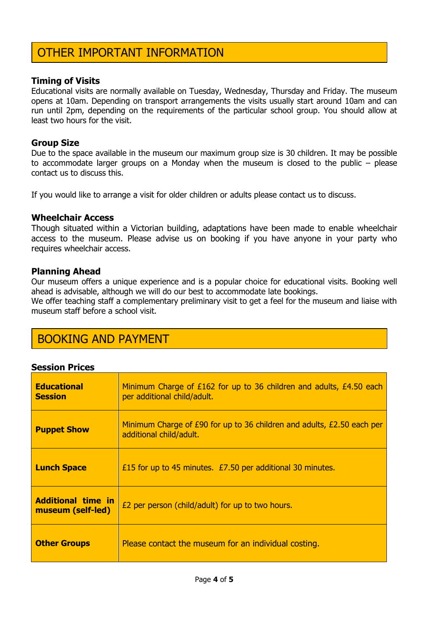## OTHER IMPORTANT INFORMATION

#### **Timing of Visits**

Educational visits are normally available on Tuesday, Wednesday, Thursday and Friday. The museum opens at 10am. Depending on transport arrangements the visits usually start around 10am and can run until 2pm, depending on the requirements of the particular school group. You should allow at least two hours for the visit.

#### **Group Size**

Due to the space available in the museum our maximum group size is 30 children. It may be possible to accommodate larger groups on a Monday when the museum is closed to the public – please contact us to discuss this.

If you would like to arrange a visit for older children or adults please contact us to discuss.

#### **Wheelchair Access**

Though situated within a Victorian building, adaptations have been made to enable wheelchair access to the museum. Please advise us on booking if you have anyone in your party who requires wheelchair access.

#### **Planning Ahead**

Our museum offers a unique experience and is a popular choice for educational visits. Booking well ahead is advisable, although we will do our best to accommodate late bookings.

We offer teaching staff a complementary preliminary visit to get a feel for the museum and liaise with museum staff before a school visit.

### BOOKING AND PAYMENT

#### **Session Prices**

| <b>Educational</b><br><b>Session</b>           | Minimum Charge of £162 for up to 36 children and adults, £4.50 each<br>per additional child/adult.  |
|------------------------------------------------|-----------------------------------------------------------------------------------------------------|
| <b>Puppet Show</b>                             | Minimum Charge of £90 for up to 36 children and adults, $£2.50$ each per<br>additional child/adult. |
| <b>Lunch Space</b>                             | £15 for up to 45 minutes. £7.50 per additional 30 minutes.                                          |
| <b>Additional time in</b><br>museum (self-led) | E2 per person (child/adult) for up to two hours.                                                    |
| <b>Other Groups</b>                            | Please contact the museum for an individual costing.                                                |